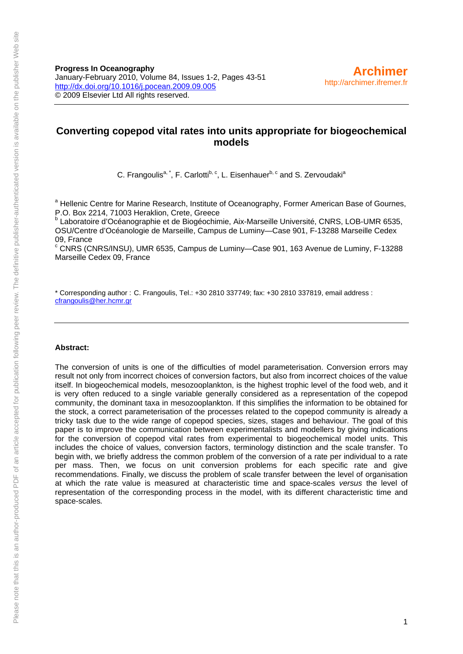## **Converting copepod vital rates into units appropriate for biogeochemical models**

C. Frangoulis<sup>a, \*</sup>, F. Carlotti<sup>b, c</sup>, L. Eisenhauer<sup>b, c</sup> and S. Zervoudaki<sup>a</sup>

<sup>a</sup> Hellenic Centre for Marine Research, Institute of Oceanography, Former American Base of Gournes, P.O. Box 2214, 71003 Heraklion, Crete, Greece

<sup>b</sup> Laboratoire d'Océanographie et de Biogéochimie, Aix-Marseille Université, CNRS, LOB-UMR 6535, OSU/Centre d'Océanologie de Marseille, Campus de Luminy—Case 901, F-13288 Marseille Cedex 09, France

<sup>c</sup> CNRS (CNRS/INSU), UMR 6535, Campus de Luminy—Case 901, 163 Avenue de Luminy, F-13288 Marseille Cedex 09, France

\* Corresponding author : C. Frangoulis, Tel.: +30 2810 337749; fax: +30 2810 337819, email address : [cfrangoulis@her.hcmr.gr](mailto:cfrangoulis@her.hcmr.gr)

#### **Abstract:**

The conversion of units is one of the difficulties of model parameterisation. Conversion errors may result not only from incorrect choices of conversion factors, but also from incorrect choices of the value itself. In biogeochemical models, mesozooplankton, is the highest trophic level of the food web, and it is very often reduced to a single variable generally considered as a representation of the copepod community, the dominant taxa in mesozooplankton. If this simplifies the information to be obtained for the stock, a correct parameterisation of the processes related to the copepod community is already a tricky task due to the wide range of copepod species, sizes, stages and behaviour. The goal of this paper is to improve the communication between experimentalists and modellers by giving indications for the conversion of copepod vital rates from experimental to biogeochemical model units. This includes the choice of values, conversion factors, terminology distinction and the scale transfer. To begin with, we briefly address the common problem of the conversion of a rate per individual to a rate per mass. Then, we focus on unit conversion problems for each specific rate and give recommendations. Finally, we discuss the problem of scale transfer between the level of organisation at which the rate value is measured at characteristic time and space-scales *versus* the level of representation of the corresponding process in the model, with its different characteristic time and space-scales*.*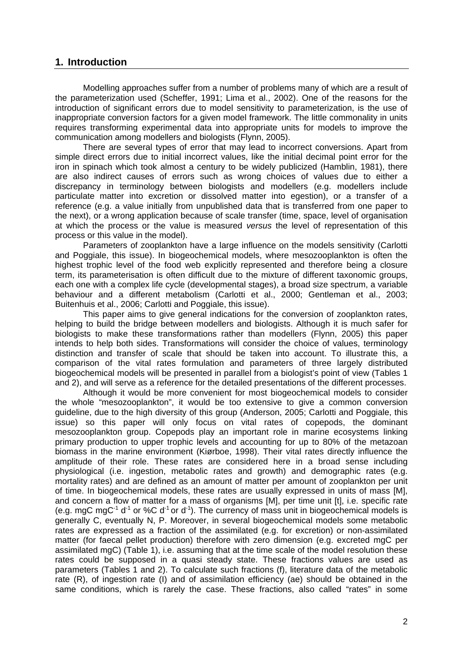## **1. Introduction**

 Modelling approaches suffer from a number of problems many of which are a result of the parameterization used (Scheffer, 1991; Lima et al., 2002). One of the reasons for the introduction of significant errors due to model sensitivity to parameterization, is the use of inappropriate conversion factors for a given model framework. The little commonality in units requires transforming experimental data into appropriate units for models to improve the communication among modellers and biologists (Flynn, 2005).

 There are several types of error that may lead to incorrect conversions. Apart from simple direct errors due to initial incorrect values, like the initial decimal point error for the iron in spinach which took almost a century to be widely publicized (Hamblin, 1981), there are also indirect causes of errors such as wrong choices of values due to either a discrepancy in terminology between biologists and modellers (e.g. modellers include particulate matter into excretion or dissolved matter into egestion), or a transfer of a reference (e.g. a value initially from unpublished data that is transferred from one paper to the next), or a wrong application because of scale transfer (time, space, level of organisation at which the process or the value is measured *versus* the level of representation of this process or this value in the model).

 Parameters of zooplankton have a large influence on the models sensitivity (Carlotti and Poggiale, this issue). In biogeochemical models, where mesozooplankton is often the highest trophic level of the food web explicitly represented and therefore being a closure term, its parameterisation is often difficult due to the mixture of different taxonomic groups, each one with a complex life cycle (developmental stages), a broad size spectrum, a variable behaviour and a different metabolism (Carlotti et al., 2000; Gentleman et al., 2003; Buitenhuis et al., 2006; Carlotti and Poggiale, this issue).

This paper aims to give general indications for the conversion of zooplankton rates, helping to build the bridge between modellers and biologists. Although it is much safer for biologists to make these transformations rather than modellers (Flynn, 2005) this paper intends to help both sides. Transformations will consider the choice of values, terminology distinction and transfer of scale that should be taken into account. To illustrate this, a comparison of the vital rates formulation and parameters of three largely distributed biogeochemical models will be presented in parallel from a biologist's point of view (Tables 1 and 2), and will serve as a reference for the detailed presentations of the different processes.

 Although it would be more convenient for most biogeochemical models to consider the whole "mesozooplankton", it would be too extensive to give a common conversion guideline, due to the high diversity of this group (Anderson, 2005; Carlotti and Poggiale, this issue) so this paper will only focus on vital rates of copepods, the dominant mesozooplankton group. Copepods play an important role in marine ecosystems linking primary production to upper trophic levels and accounting for up to 80% of the metazoan biomass in the marine environment (Kiørboe, 1998). Their vital rates directly influence the amplitude of their role. These rates are considered here in a broad sense including physiological (i.e. ingestion, metabolic rates and growth) and demographic rates (e.g. mortality rates) and are defined as an amount of matter per amount of zooplankton per unit of time. In biogeochemical models, these rates are usually expressed in units of mass [M], and concern a flow of matter for a mass of organisms [M], per time unit [t], i.e. specific rate (e.g. mgC mgC $^{-1}$  d<sup>-1</sup> or %C d<sup>-1</sup> or d<sup>-1</sup>). The currency of mass unit in biogeochemical models is generally C, eventually N, P. Moreover, in several biogeochemical models some metabolic rates are expressed as a fraction of the assimilated (e.g. for excretion) or non-assimilated matter (for faecal pellet production) therefore with zero dimension (e.g. excreted mgC per assimilated mgC) (Table 1), i.e. assuming that at the time scale of the model resolution these rates could be supposed in a quasi steady state. These fractions values are used as parameters (Tables 1 and 2). To calculate such fractions (f), literature data of the metabolic rate (R), of ingestion rate (I) and of assimilation efficiency (ae) should be obtained in the same conditions, which is rarely the case. These fractions, also called "rates" in some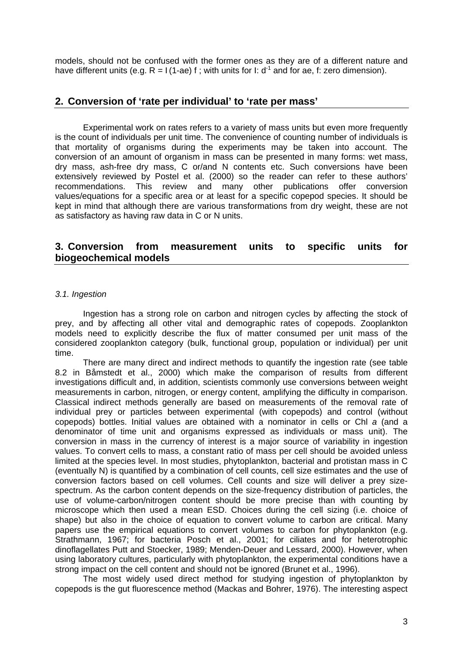models, should not be confused with the former ones as they are of a different nature and have different units (e.g.  $R = I(1 - ae) f$ ; with units for I: d<sup>-1</sup> and for ae, f: zero dimension).

### **2. Conversion of 'rate per individual' to 'rate per mass'**

 Experimental work on rates refers to a variety of mass units but even more frequently is the count of individuals per unit time. The convenience of counting number of individuals is that mortality of organisms during the experiments may be taken into account. The conversion of an amount of organism in mass can be presented in many forms: wet mass, dry mass, ash-free dry mass, C or/and N contents etc. Such conversions have been extensively reviewed by Postel et al. (2000) so the reader can refer to these authors' recommendations. This review and many other publications offer conversion values/equations for a specific area or at least for a specific copepod species. It should be kept in mind that although there are various transformations from dry weight, these are not as satisfactory as having raw data in C or N units.

## **3. Conversion from measurement units to specific units for biogeochemical models**

### *3.1. Ingestion*

 Ingestion has a strong role on carbon and nitrogen cycles by affecting the stock of prey, and by affecting all other vital and demographic rates of copepods. Zooplankton models need to explicitly describe the flux of matter consumed per unit mass of the considered zooplankton category (bulk, functional group, population or individual) per unit time.

 There are many direct and indirect methods to quantify the ingestion rate (see table 8.2 in Båmstedt et al., 2000) which make the comparison of results from different investigations difficult and, in addition, scientists commonly use conversions between weight measurements in carbon, nitrogen, or energy content, amplifying the difficulty in comparison. Classical indirect methods generally are based on measurements of the removal rate of individual prey or particles between experimental (with copepods) and control (without copepods) bottles. Initial values are obtained with a nominator in cells or Chl *a* (and a denominator of time unit and organisms expressed as individuals or mass unit). The conversion in mass in the currency of interest is a major source of variability in ingestion values. To convert cells to mass, a constant ratio of mass per cell should be avoided unless limited at the species level. In most studies, phytoplankton, bacterial and protistan mass in C (eventually N) is quantified by a combination of cell counts, cell size estimates and the use of conversion factors based on cell volumes. Cell counts and size will deliver a prey sizespectrum. As the carbon content depends on the size-frequency distribution of particles, the use of volume-carbon/nitrogen content should be more precise than with counting by microscope which then used a mean ESD. Choices during the cell sizing (i.e. choice of shape) but also in the choice of equation to convert volume to carbon are critical. Many papers use the empirical equations to convert volumes to carbon for phytoplankton (e.g. Strathmann, 1967; for bacteria Posch et al., 2001; for ciliates and for heterotrophic dinoflagellates Putt and Stoecker, 1989; Menden-Deuer and Lessard, 2000). However, when using laboratory cultures, particularly with phytoplankton, the experimental conditions have a strong impact on the cell content and should not be ignored (Brunet et al., 1996).

 The most widely used direct method for studying ingestion of phytoplankton by copepods is the gut fluorescence method (Mackas and Bohrer, 1976). The interesting aspect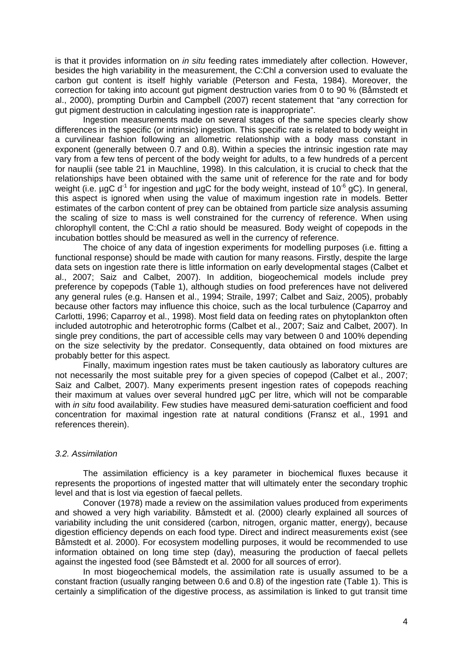is that it provides information on *in situ* feeding rates immediately after collection. However, besides the high variability in the measurement, the C:Chl *a* conversion used to evaluate the carbon gut content is itself highly variable (Peterson and Festa, 1984). Moreover, the correction for taking into account gut pigment destruction varies from 0 to 90 % (Båmstedt et al., 2000), prompting Durbin and Campbell (2007) recent statement that "any correction for gut pigment destruction in calculating ingestion rate is inappropriate".

 Ingestion measurements made on several stages of the same species clearly show differences in the specific (or intrinsic) ingestion. This specific rate is related to body weight in a curvilinear fashion following an allometric relationship with a body mass constant in exponent (generally between 0.7 and 0.8). Within a species the intrinsic ingestion rate may vary from a few tens of percent of the body weight for adults, to a few hundreds of a percent for nauplii (see table 21 in Mauchline, 1998). In this calculation, it is crucial to check that the relationships have been obtained with the same unit of reference for the rate and for body weight (i.e.  $\mu$ gC d<sup>-1</sup> for ingestion and  $\mu$ gC for the body weight, instead of 10<sup>-6</sup> gC). In general, this aspect is ignored when using the value of maximum ingestion rate in models. Better estimates of the carbon content of prey can be obtained from particle size analysis assuming the scaling of size to mass is well constrained for the currency of reference. When using chlorophyll content, the C:Chl *a* ratio should be measured. Body weight of copepods in the incubation bottles should be measured as well in the currency of reference.

 The choice of any data of ingestion experiments for modelling purposes (i.e. fitting a functional response) should be made with caution for many reasons. Firstly, despite the large data sets on ingestion rate there is little information on early developmental stages (Calbet et al., 2007; Saiz and Calbet, 2007). In addition, biogeochemical models include prey preference by copepods (Table 1), although studies on food preferences have not delivered any general rules (e.g. Hansen et al., 1994; Straile, 1997; Calbet and Saiz, 2005), probably because other factors may influence this choice, such as the local turbulence (Caparroy and Carlotti, 1996; Caparroy et al., 1998). Most field data on feeding rates on phytoplankton often included autotrophic and heterotrophic forms (Calbet et al., 2007; Saiz and Calbet, 2007). In single prey conditions, the part of accessible cells may vary between 0 and 100% depending on the size selectivity by the predator. Consequently, data obtained on food mixtures are probably better for this aspect.

 Finally, maximum ingestion rates must be taken cautiously as laboratory cultures are not necessarily the most suitable prey for a given species of copepod (Calbet et al., 2007; Saiz and Calbet, 2007). Many experiments present ingestion rates of copepods reaching their maximum at values over several hundred µgC per litre, which will not be comparable with *in situ* food availability. Few studies have measured demi-saturation coefficient and food concentration for maximal ingestion rate at natural conditions (Fransz et al., 1991 and references therein).

#### *3.2. Assimilation*

 The assimilation efficiency is a key parameter in biochemical fluxes because it represents the proportions of ingested matter that will ultimately enter the secondary trophic level and that is lost via egestion of faecal pellets.

 Conover (1978) made a review on the assimilation values produced from experiments and showed a very high variability. Båmstedt et al. (2000) clearly explained all sources of variability including the unit considered (carbon, nitrogen, organic matter, energy), because digestion efficiency depends on each food type. Direct and indirect measurements exist (see Båmstedt et al. 2000). For ecosystem modelling purposes, it would be recommended to use information obtained on long time step (day), measuring the production of faecal pellets against the ingested food (see Båmstedt et al. 2000 for all sources of error).

 In most biogeochemical models, the assimilation rate is usually assumed to be a constant fraction (usually ranging between 0.6 and 0.8) of the ingestion rate (Table 1). This is certainly a simplification of the digestive process, as assimilation is linked to gut transit time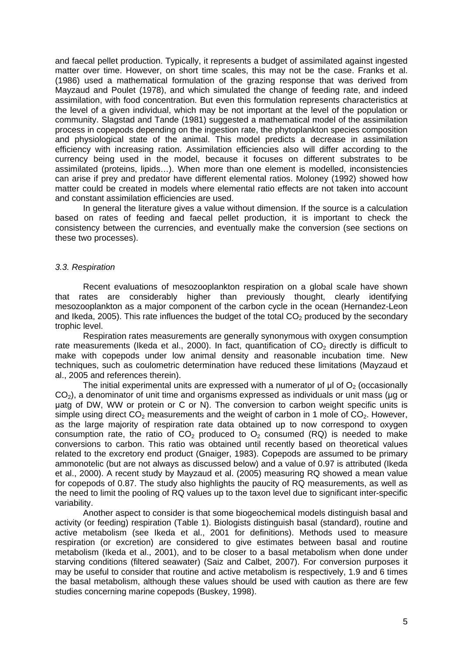and faecal pellet production. Typically, it represents a budget of assimilated against ingested matter over time. However, on short time scales, this may not be the case. Franks et al. (1986) used a mathematical formulation of the grazing response that was derived from Mayzaud and Poulet (1978), and which simulated the change of feeding rate, and indeed assimilation, with food concentration. But even this formulation represents characteristics at the level of a given individual, which may be not important at the level of the population or community. Slagstad and Tande (1981) suggested a mathematical model of the assimilation process in copepods depending on the ingestion rate, the phytoplankton species composition and physiological state of the animal. This model predicts a decrease in assimilation efficiency with increasing ration. Assimilation efficiencies also will differ according to the currency being used in the model, because it focuses on different substrates to be assimilated (proteins, lipids…). When more than one element is modelled, inconsistencies can arise if prey and predator have different elemental ratios. Moloney (1992) showed how matter could be created in models where elemental ratio effects are not taken into account and constant assimilation efficiencies are used.

 In general the literature gives a value without dimension. If the source is a calculation based on rates of feeding and faecal pellet production, it is important to check the consistency between the currencies, and eventually make the conversion (see sections on these two processes).

#### *3.3. Respiration*

 Recent evaluations of mesozooplankton respiration on a global scale have shown that rates are considerably higher than previously thought, clearly identifying mesozooplankton as a major component of the carbon cycle in the ocean (Hernandez-Leon and Ikeda, 2005). This rate influences the budget of the total  $CO<sub>2</sub>$  produced by the secondary trophic level.

 Respiration rates measurements are generally synonymous with oxygen consumption rate measurements (Ikeda et al., 2000). In fact, quantification of  $CO<sub>2</sub>$  directly is difficult to make with copepods under low animal density and reasonable incubation time. New techniques, such as coulometric determination have reduced these limitations (Mayzaud et al., 2005 and references therein).

The initial experimental units are expressed with a numerator of  $\mu$ l of  $O_2$  (occasionally  $CO<sub>2</sub>$ ), a denominator of unit time and organisms expressed as individuals or unit mass ( $\mu$ g or μatg of DW, WW or protein or C or N). The conversion to carbon weight specific units is simple using direct  $CO<sub>2</sub>$  measurements and the weight of carbon in 1 mole of  $CO<sub>2</sub>$ . However, as the large majority of respiration rate data obtained up to now correspond to oxygen consumption rate, the ratio of  $CO<sub>2</sub>$  produced to  $O<sub>2</sub>$  consumed (RQ) is needed to make conversions to carbon. This ratio was obtained until recently based on theoretical values related to the excretory end product (Gnaiger, 1983). Copepods are assumed to be primary ammonotelic (but are not always as discussed below) and a value of 0.97 is attributed (Ikeda et al., 2000). A recent study by Mayzaud et al. (2005) measuring RQ showed a mean value for copepods of 0.87. The study also highlights the paucity of RQ measurements, as well as the need to limit the pooling of RQ values up to the taxon level due to significant inter-specific variability.

 Another aspect to consider is that some biogeochemical models distinguish basal and activity (or feeding) respiration (Table 1). Biologists distinguish basal (standard), routine and active metabolism (see Ikeda et al., 2001 for definitions). Methods used to measure respiration (or excretion) are considered to give estimates between basal and routine metabolism (Ikeda et al., 2001), and to be closer to a basal metabolism when done under starving conditions (filtered seawater) (Saiz and Calbet, 2007). For conversion purposes it may be useful to consider that routine and active metabolism is respectively, 1.9 and 6 times the basal metabolism, although these values should be used with caution as there are few studies concerning marine copepods (Buskey, 1998).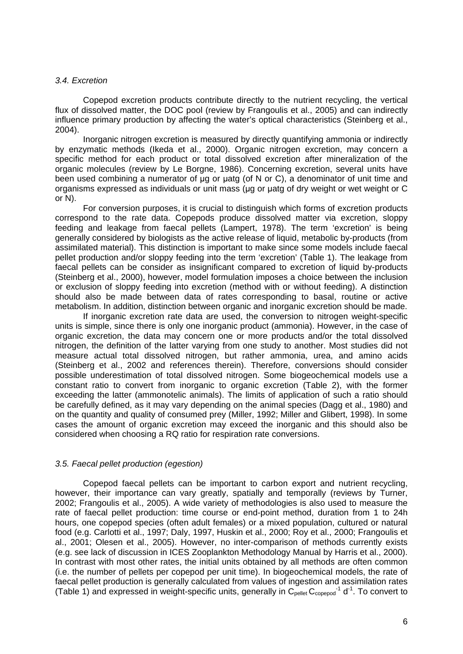#### *3.4. Excretion*

Copepod excretion products contribute directly to the nutrient recycling, the vertical flux of dissolved matter, the DOC pool (review by Frangoulis et al., 2005) and can indirectly influence primary production by affecting the water's optical characteristics (Steinberg et al., 2004).

 Inorganic nitrogen excretion is measured by directly quantifying ammonia or indirectly by enzymatic methods (Ikeda et al., 2000). Organic nitrogen excretion, may concern a specific method for each product or total dissolved excretion after mineralization of the organic molecules (review by Le Borgne, 1986). Concerning excretion, several units have been used combining a numerator of μg or μatg (of N or C), a denominator of unit time and organisms expressed as individuals or unit mass (μg or μatg of dry weight or wet weight or C or N).

 For conversion purposes, it is crucial to distinguish which forms of excretion products correspond to the rate data. Copepods produce dissolved matter via excretion, sloppy feeding and leakage from faecal pellets (Lampert, 1978). The term 'excretion' is being generally considered by biologists as the active release of liquid, metabolic by-products (from assimilated material). This distinction is important to make since some models include faecal pellet production and/or sloppy feeding into the term 'excretion' (Table 1). The leakage from faecal pellets can be consider as insignificant compared to excretion of liquid by-products (Steinberg et al., 2000), however, model formulation imposes a choice between the inclusion or exclusion of sloppy feeding into excretion (method with or without feeding). A distinction should also be made between data of rates corresponding to basal, routine or active metabolism. In addition, distinction between organic and inorganic excretion should be made.

 If inorganic excretion rate data are used, the conversion to nitrogen weight-specific units is simple, since there is only one inorganic product (ammonia). However, in the case of organic excretion, the data may concern one or more products and/or the total dissolved nitrogen, the definition of the latter varying from one study to another. Most studies did not measure actual total dissolved nitrogen, but rather ammonia, urea, and amino acids (Steinberg et al., 2002 and references therein). Therefore, conversions should consider possible underestimation of total dissolved nitrogen. Some biogeochemical models use a constant ratio to convert from inorganic to organic excretion (Table 2), with the former exceeding the latter (ammonotelic animals). The limits of application of such a ratio should be carefully defined, as it may vary depending on the animal species (Dagg et al., 1980) and on the quantity and quality of consumed prey (Miller, 1992; Miller and Glibert, 1998). In some cases the amount of organic excretion may exceed the inorganic and this should also be considered when choosing a RQ ratio for respiration rate conversions.

#### *3.5. Faecal pellet production (egestion)*

 Copepod faecal pellets can be important to carbon export and nutrient recycling, however, their importance can vary greatly, spatially and temporally (reviews by Turner, 2002; Frangoulis et al., 2005). A wide variety of methodologies is also used to measure the rate of faecal pellet production: time course or end-point method, duration from 1 to 24h hours, one copepod species (often adult females) or a mixed population, cultured or natural food (e.g. Carlotti et al., 1997; Daly, 1997, Huskin et al., 2000; Roy et al., 2000; Frangoulis et al., 2001; Olesen et al., 2005). However, no inter-comparison of methods currently exists (e.g. see lack of discussion in ICES Zooplankton Methodology Manual by Harris et al., 2000). In contrast with most other rates, the initial units obtained by all methods are often common (i.e. the number of pellets per copepod per unit time). In biogeochemical models, the rate of faecal pellet production is generally calculated from values of ingestion and assimilation rates (Table 1) and expressed in weight-specific units, generally in  $C_{\text{pellet}} C_{\text{copepod}}^{-1} d^{-1}$ . To convert to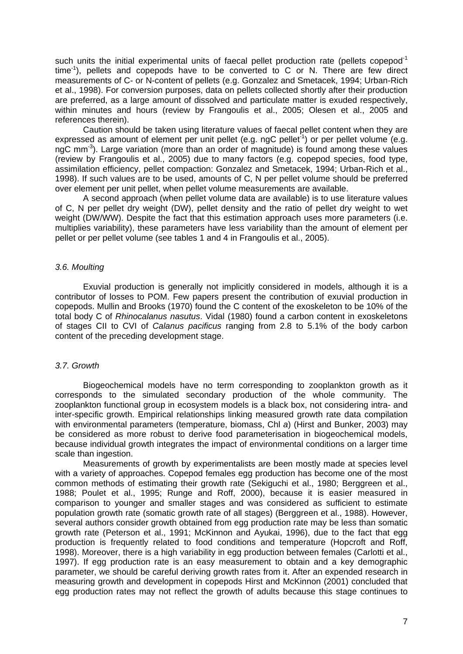such units the initial experimental units of faecal pellet production rate (pellets copepod<sup>-1</sup> time<sup>-1</sup>), pellets and copepods have to be converted to C or N. There are few direct measurements of C- or N-content of pellets (e.g. Gonzalez and Smetacek, 1994; Urban-Rich et al., 1998). For conversion purposes, data on pellets collected shortly after their production are preferred, as a large amount of dissolved and particulate matter is exuded respectively. within minutes and hours (review by Frangoulis et al., 2005; Olesen et al., 2005 and references therein).

 Caution should be taken using literature values of faecal pellet content when they are expressed as amount of element per unit pellet (e.g. ngC pellet<sup>-1</sup>) or per pellet volume (e.g. ngC mm<sup>3</sup>). Large variation (more than an order of magnitude) is found among these values (review by Frangoulis et al., 2005) due to many factors (e.g. copepod species, food type, assimilation efficiency, pellet compaction: Gonzalez and Smetacek, 1994; Urban-Rich et al., 1998). If such values are to be used, amounts of C, N per pellet volume should be preferred over element per unit pellet, when pellet volume measurements are available.

 A second approach (when pellet volume data are available) is to use literature values of C, N per pellet dry weight (DW), pellet density and the ratio of pellet dry weight to wet weight (DW/WW). Despite the fact that this estimation approach uses more parameters (i.e. multiplies variability), these parameters have less variability than the amount of element per pellet or per pellet volume (see tables 1 and 4 in Frangoulis et al., 2005).

#### *3.6. Moulting*

 Exuvial production is generally not implicitly considered in models, although it is a contributor of losses to POM. Few papers present the contribution of exuvial production in copepods. Mullin and Brooks (1970) found the C content of the exoskeleton to be 10% of the total body C of *Rhinocalanus nasutus*. Vidal (1980) found a carbon content in exoskeletons of stages CII to CVI of *Calanus pacificus* ranging from 2.8 to 5.1% of the body carbon content of the preceding development stage.

#### *3.7. Growth*

 Biogeochemical models have no term corresponding to zooplankton growth as it corresponds to the simulated secondary production of the whole community. The zooplankton functional group in ecosystem models is a black box, not considering intra- and inter-specific growth. Empirical relationships linking measured growth rate data compilation with environmental parameters (temperature, biomass, Chl *a*) (Hirst and Bunker, 2003) may be considered as more robust to derive food parameterisation in biogeochemical models, because individual growth integrates the impact of environmental conditions on a larger time scale than ingestion.

 Measurements of growth by experimentalists are been mostly made at species level with a variety of approaches. Copepod females egg production has become one of the most common methods of estimating their growth rate (Sekiguchi et al., 1980; Berggreen et al., 1988; Poulet et al., 1995; Runge and Roff, 2000), because it is easier measured in comparison to younger and smaller stages and was considered as sufficient to estimate population growth rate (somatic growth rate of all stages) (Berggreen et al., 1988). However, several authors consider growth obtained from egg production rate may be less than somatic growth rate (Peterson et al., 1991; McKinnon and Ayukai, 1996), due to the fact that egg production is frequently related to food conditions and temperature (Hopcroft and Roff, 1998). Moreover, there is a high variability in egg production between females (Carlotti et al., 1997). If egg production rate is an easy measurement to obtain and a key demographic parameter, we should be careful deriving growth rates from it. After an expended research in measuring growth and development in copepods Hirst and McKinnon (2001) concluded that egg production rates may not reflect the growth of adults because this stage continues to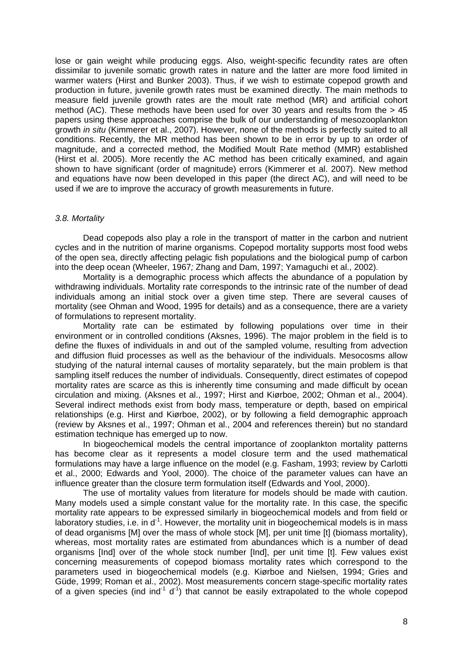lose or gain weight while producing eggs. Also, weight-specific fecundity rates are often dissimilar to juvenile somatic growth rates in nature and the latter are more food limited in warmer waters (Hirst and Bunker 2003). Thus, if we wish to estimate copepod growth and production in future, juvenile growth rates must be examined directly. The main methods to measure field juvenile growth rates are the moult rate method (MR) and artificial cohort method (AC). These methods have been used for over 30 years and results from the  $> 45$ papers using these approaches comprise the bulk of our understanding of mesozooplankton growth *in situ* (Kimmerer et al., 2007). However, none of the methods is perfectly suited to all conditions. Recently, the MR method has been shown to be in error by up to an order of magnitude, and a corrected method, the Modified Moult Rate method (MMR) established (Hirst et al. 2005). More recently the AC method has been critically examined, and again shown to have significant (order of magnitude) errors (Kimmerer et al. 2007). New method and equations have now been developed in this paper (the direct AC), and will need to be used if we are to improve the accuracy of growth measurements in future.

### *3.8. Mortality*

 Dead copepods also play a role in the transport of matter in the carbon and nutrient cycles and in the nutrition of marine organisms. Copepod mortality supports most food webs of the open sea, directly affecting pelagic fish populations and the biological pump of carbon into the deep ocean (Wheeler, 1967*;* Zhang and Dam, 1997; Yamaguchi et al., 2002).

 Mortality is a demographic process which affects the abundance of a population by withdrawing individuals. Mortality rate corresponds to the intrinsic rate of the number of dead individuals among an initial stock over a given time step. There are several causes of mortality (see Ohman and Wood, 1995 for details) and as a consequence, there are a variety of formulations to represent mortality.

 Mortality rate can be estimated by following populations over time in their environment or in controlled conditions (Aksnes, 1996). The major problem in the field is to define the fluxes of individuals in and out of the sampled volume, resulting from advection and diffusion fluid processes as well as the behaviour of the individuals. Mesocosms allow studying of the natural internal causes of mortality separately, but the main problem is that sampling itself reduces the number of individuals. Consequently, direct estimates of copepod mortality rates are scarce as this is inherently time consuming and made difficult by ocean circulation and mixing. (Aksnes et al., 1997; Hirst and Kiørboe, 2002; Ohman et al., 2004). Several indirect methods exist from body mass, temperature or depth, based on empirical relationships (e.g. Hirst and Kiørboe, 2002), or by following a field demographic approach (review by Aksnes et al., 1997; Ohman et al., 2004 and references therein) but no standard estimation technique has emerged up to now.

 In biogeochemical models the central importance of zooplankton mortality patterns has become clear as it represents a model closure term and the used mathematical formulations may have a large influence on the model (e.g. Fasham, 1993; review by Carlotti et al., 2000; Edwards and Yool, 2000). The choice of the parameter values can have an influence greater than the closure term formulation itself (Edwards and Yool, 2000).

 The use of mortality values from literature for models should be made with caution. Many models used a simple constant value for the mortality rate. In this case, the specific mortality rate appears to be expressed similarly in biogeochemical models and from field or laboratory studies, i.e. in  $d<sup>-1</sup>$ . However, the mortality unit in biogeochemical models is in mass of dead organisms [M] over the mass of whole stock [M], per unit time [t] (biomass mortality), whereas, most mortality rates are estimated from abundances which is a number of dead organisms [Ind] over of the whole stock number [Ind], per unit time [t]. Few values exist concerning measurements of copepod biomass mortality rates which correspond to the parameters used in biogeochemical models (e.g. Kiørboe and Nielsen, 1994; Gries and Güde, 1999; Roman et al., 2002). Most measurements concern stage-specific mortality rates of a given species (ind ind<sup>-1</sup> d<sup>-1</sup>) that cannot be easily extrapolated to the whole copepod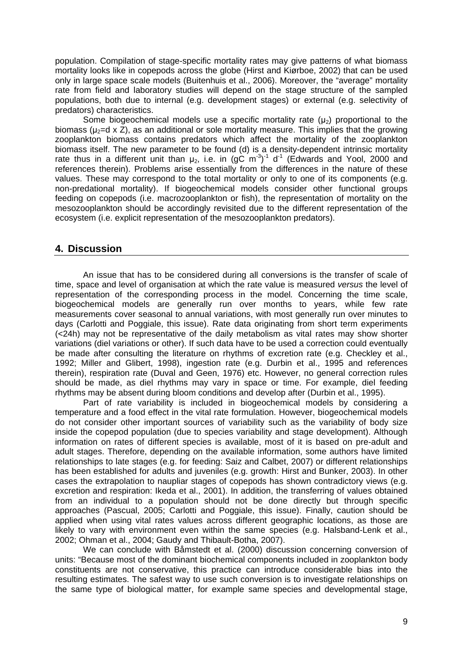population. Compilation of stage-specific mortality rates may give patterns of what biomass mortality looks like in copepods across the globe (Hirst and Kiørboe, 2002) that can be used only in large space scale models (Buitenhuis et al., 2006). Moreover, the "average" mortality rate from field and laboratory studies will depend on the stage structure of the sampled populations, both due to internal (e.g. development stages) or external (e.g. selectivity of predators) characteristics.

Some biogeochemical models use a specific mortality rate  $(\mu_2)$  proportional to the biomass ( $\mu$ <sub>2</sub>=d x Z), as an additional or sole mortality measure. This implies that the growing zooplankton biomass contains predators which affect the mortality of the zooplankton biomass itself. The new parameter to be found (d) is a density-dependent intrinsic mortality rate thus in a different unit than  $\mu_2$ , i.e. in (gC m<sup>-3</sup>)<sup>-1</sup> d<sup>-1</sup> (Edwards and Yool, 2000 and references therein). Problems arise essentially from the differences in the nature of these values. These may correspond to the total mortality or only to one of its components (e.g. non-predational mortality). If biogeochemical models consider other functional groups feeding on copepods (i.e. macrozooplankton or fish), the representation of mortality on the mesozooplankton should be accordingly revisited due to the different representation of the ecosystem (i.e. explicit representation of the mesozooplankton predators).

### **4. Discussion**

An issue that has to be considered during all conversions is the transfer of scale of time, space and level of organisation at which the rate value is measured *versus* the level of representation of the corresponding process in the model*.* Concerning the time scale, biogeochemical models are generally run over months to years, while few rate measurements cover seasonal to annual variations, with most generally run over minutes to days (Carlotti and Poggiale, this issue). Rate data originating from short term experiments (<24h) may not be representative of the daily metabolism as vital rates may show shorter variations (diel variations or other). If such data have to be used a correction could eventually be made after consulting the literature on rhythms of excretion rate (e.g. Checkley et al., 1992; Miller and Glibert, 1998), ingestion rate (e.g. Durbin et al., 1995 and references therein), respiration rate (Duval and Geen, 1976) etc. However, no general correction rules should be made, as diel rhythms may vary in space or time. For example, diel feeding rhythms may be absent during bloom conditions and develop after (Durbin et al., 1995).

 Part of rate variability is included in biogeochemical models by considering a temperature and a food effect in the vital rate formulation. However, biogeochemical models do not consider other important sources of variability such as the variability of body size inside the copepod population (due to species variability and stage development). Although information on rates of different species is available, most of it is based on pre-adult and adult stages. Therefore, depending on the available information, some authors have limited relationships to late stages (e.g. for feeding: Saiz and Calbet, 2007) or different relationships has been established for adults and juveniles (e.g. growth: Hirst and Bunker, 2003). In other cases the extrapolation to naupliar stages of copepods has shown contradictory views (e.g. excretion and respiration: Ikeda et al., 2001). In addition, the transferring of values obtained from an individual to a population should not be done directly but through specific approaches (Pascual, 2005; Carlotti and Poggiale, this issue). Finally, caution should be applied when using vital rates values across different geographic locations, as those are likely to vary with environment even within the same species (e.g. Halsband-Lenk et al., 2002; Ohman et al., 2004; Gaudy and Thibault-Botha, 2007).

 We can conclude with Båmstedt et al. (2000) discussion concerning conversion of units: "Because most of the dominant biochemical components included in zooplankton body constituents are not conservative, this practice can introduce considerable bias into the resulting estimates. The safest way to use such conversion is to investigate relationships on the same type of biological matter, for example same species and developmental stage,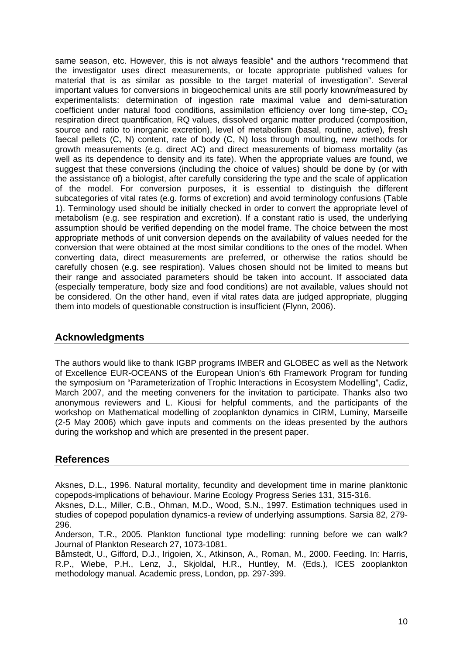same season, etc. However, this is not always feasible" and the authors "recommend that the investigator uses direct measurements, or locate appropriate published values for material that is as similar as possible to the target material of investigation". Several important values for conversions in biogeochemical units are still poorly known/measured by experimentalists: determination of ingestion rate maximal value and demi-saturation coefficient under natural food conditions, assimilation efficiency over long time-step,  $CO<sub>2</sub>$ respiration direct quantification, RQ values, dissolved organic matter produced (composition, source and ratio to inorganic excretion), level of metabolism (basal, routine, active), fresh faecal pellets (C, N) content, rate of body (C, N) loss through moulting, new methods for growth measurements (e.g. direct AC) and direct measurements of biomass mortality (as well as its dependence to density and its fate). When the appropriate values are found, we suggest that these conversions (including the choice of values) should be done by (or with the assistance of) a biologist, after carefully considering the type and the scale of application of the model. For conversion purposes, it is essential to distinguish the different subcategories of vital rates (e.g. forms of excretion) and avoid terminology confusions (Table 1). Terminology used should be initially checked in order to convert the appropriate level of metabolism (e.g. see respiration and excretion). If a constant ratio is used, the underlying assumption should be verified depending on the model frame. The choice between the most appropriate methods of unit conversion depends on the availability of values needed for the conversion that were obtained at the most similar conditions to the ones of the model. When converting data, direct measurements are preferred, or otherwise the ratios should be carefully chosen (e.g. see respiration). Values chosen should not be limited to means but their range and associated parameters should be taken into account. If associated data (especially temperature, body size and food conditions) are not available, values should not be considered. On the other hand, even if vital rates data are judged appropriate, plugging them into models of questionable construction is insufficient (Flynn, 2006).

## **Acknowledgments**

The authors would like to thank IGBP programs IMBER and GLOBEC as well as the Network of Excellence EUR-OCEANS of the European Union's 6th Framework Program for funding the symposium on "Parameterization of Trophic Interactions in Ecosystem Modelling", Cadiz, March 2007, and the meeting conveners for the invitation to participate. Thanks also two anonymous reviewers and L. Kiousi for helpful comments, and the participants of the workshop on Mathematical modelling of zooplankton dynamics in CIRM, Luminy, Marseille (2-5 May 2006) which gave inputs and comments on the ideas presented by the authors during the workshop and which are presented in the present paper.

# **References**

Aksnes, D.L., 1996. Natural mortality, fecundity and development time in marine planktonic copepods-implications of behaviour. Marine Ecology Progress Series 131, 315-316.

Aksnes, D.L., Miller, C.B., Ohman, M.D., Wood, S.N., 1997. Estimation techniques used in studies of copepod population dynamics-a review of underlying assumptions. Sarsia 82, 279- 296.

Anderson, T.R., 2005. Plankton functional type modelling: running before we can walk? Journal of Plankton Research 27, 1073-1081.

Båmstedt, U., Gifford, D.J., Irigoien, X., Atkinson, A., Roman, M., 2000. Feeding. In: Harris, R.P., Wiebe, P.H., Lenz, J., Skjoldal, H.R., Huntley, M. (Eds.), ICES zooplankton methodology manual. Academic press, London, pp. 297-399.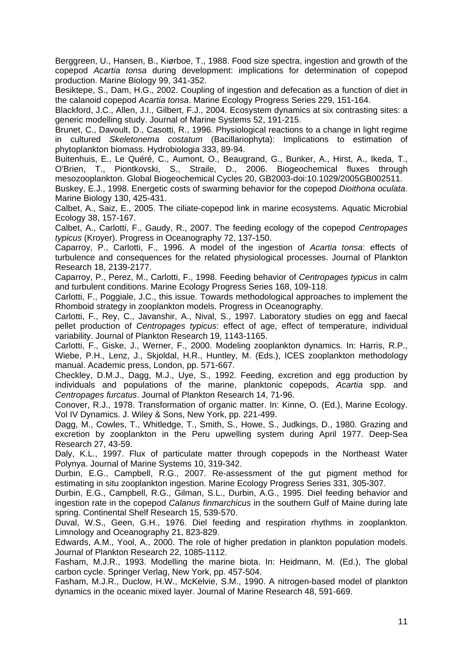Berggreen, U., Hansen, B., Kiørboe, T., 1988. Food size spectra, ingestion and growth of the copepod *Acartia tonsa* during development: implications for determination of copepod production. Marine Biology 99, 341-352.

Besiktepe, S., Dam, H.G., 2002. Coupling of ingestion and defecation as a function of diet in the calanoid copepod *Acartia tonsa*. Marine Ecology Progress Series 229, 151-164.

Blackford, J.C., Allen, J.I., Gilbert, F.J., 2004. Ecosystem dynamics at six contrasting sites: a generic modelling study. Journal of Marine Systems 52, 191-215.

Brunet, C., Davoult, D., Casotti, R., 1996. Physiological reactions to a change in light regime in cultured *Skeletonema costatum* (Bacillariophyta): Implications to estimation of phytoplankton biomass. Hydrobiologia 333, 89-94.

Buitenhuis, E., Le Quéré, C., Aumont, O., Beaugrand, G., Bunker, A., Hirst, A., Ikeda, T., O'Brien, T., Piontkovski, S., Straile, D., 2006. Biogeochemical fluxes through mesozooplankton. Global Biogeochemical Cycles 20, GB2003-doi:10.1029/2005GB002511.

Buskey, E.J., 1998. Energetic costs of swarming behavior for the copepod *Dioithona oculata*. Marine Biology 130, 425-431.

Calbet, A., Saiz, E., 2005. The ciliate-copepod link in marine ecosystems. Aquatic Microbial Ecology 38, 157-167.

Calbet, A., Carlotti, F., Gaudy, R., 2007. The feeding ecology of the copepod *Centropages typicus* (Kroyer). Progress in Oceanography 72, 137-150.

Caparroy, P., Carlotti, F., 1996. A model of the ingestion of *Acartia tonsa*: effects of turbulence and consequences for the related physiological processes. Journal of Plankton Research 18, 2139-2177.

Caparroy, P., Perez, M., Carlotti, F., 1998. Feeding behavior of *Centropages typicus* in calm and turbulent conditions. Marine Ecology Progress Series 168, 109-118.

Carlotti, F., Poggiale, J.C., this issue. Towards methodological approaches to implement the Rhomboid strategy in zooplankton models. Progress in Oceanography.

Carlotti, F., Rey, C., Javanshir, A., Nival, S., 1997. Laboratory studies on egg and faecal pellet production of *Centropages typicus*: effect of age, effect of temperature, individual variability. Journal of Plankton Research 19, 1143-1165.

Carlotti, F., Giske, J., Werner, F., 2000. Modeling zooplankton dynamics. In: Harris, R.P., Wiebe, P.H., Lenz, J., Skjoldal, H.R., Huntley, M. (Eds.), ICES zooplankton methodology manual. Academic press, London, pp. 571-667.

Checkley, D.M.J., Dagg, M.J., Uye, S., 1992. Feeding, excretion and egg production by individuals and populations of the marine, planktonic copepods, *Acartia* spp. and *Centropages furcatus*. Journal of Plankton Research 14, 71-96.

Conover, R.J., 1978. Transformation of organic matter. In: Kinne, O. (Ed.), Marine Ecology. Vol IV Dynamics. J. Wiley & Sons, New York, pp. 221-499.

Dagg, M., Cowles, T., Whitledge, T., Smith, S., Howe, S., Judkings, D., 1980. Grazing and excretion by zooplankton in the Peru upwelling system during April 1977. Deep-Sea Research 27, 43-59.

Daly, K.L., 1997. Flux of particulate matter through copepods in the Northeast Water Polynya. Journal of Marine Systems 10, 319-342.

Durbin, E.G., Campbell, R.G., 2007. Re-assessment of the gut pigment method for estimating in situ zooplankton ingestion. Marine Ecology Progress Series 331, 305-307.

Durbin, E.G., Campbell, R.G., Gilman, S.L., Durbin, A.G., 1995. Diel feeding behavior and ingestion rate in the copepod *Calanus finmarchicus* in the southern Gulf of Maine during late spring. Continental Shelf Research 15, 539-570.

Duval, W.S., Geen, G.H., 1976. Diel feeding and respiration rhythms in zooplankton. Limnology and Oceanography 21, 823-829.

Edwards, A.M., Yool, A., 2000. The role of higher predation in plankton population models. Journal of Plankton Research 22, 1085-1112.

Fasham, M.J.R., 1993. Modelling the marine biota. In: Heidmann, M. (Ed.), The global carbon cycle. Springer Verlag, New York, pp. 457-504.

Fasham, M.J.R., Duclow, H.W., McKelvie, S.M., 1990. A nitrogen-based model of plankton dynamics in the oceanic mixed layer. Journal of Marine Research 48, 591-669.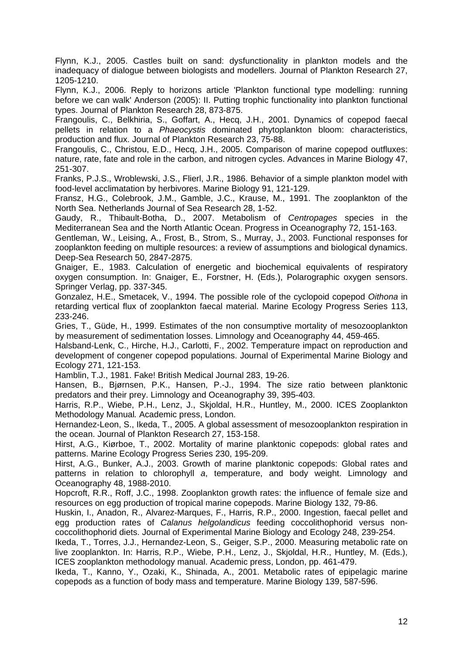Flynn, K.J., 2005. Castles built on sand: dysfunctionality in plankton models and the inadequacy of dialogue between biologists and modellers. Journal of Plankton Research 27, 1205-1210.

Flynn, K.J., 2006. Reply to horizons article 'Plankton functional type modelling: running before we can walk' Anderson (2005): II. Putting trophic functionality into plankton functional types. Journal of Plankton Research 28, 873-875.

Frangoulis, C., Belkhiria, S., Goffart, A., Hecq, J.H., 2001. Dynamics of copepod faecal pellets in relation to a *Phaeocystis* dominated phytoplankton bloom: characteristics, production and flux. Journal of Plankton Research 23, 75-88.

Frangoulis, C., Christou, E.D., Hecq, J.H., 2005. Comparison of marine copepod outfluxes: nature, rate, fate and role in the carbon, and nitrogen cycles. Advances in Marine Biology 47, 251-307.

Franks, P.J.S., Wroblewski, J.S., Flierl, J.R., 1986. Behavior of a simple plankton model with food-level acclimatation by herbivores. Marine Biology 91, 121-129.

Fransz, H.G., Colebrook, J.M., Gamble, J.C., Krause, M., 1991. The zooplankton of the North Sea. Netherlands Journal of Sea Research 28, 1-52.

Gaudy, R., Thibault-Botha, D., 2007. Metabolism of *Centropages* species in the Mediterranean Sea and the North Atlantic Ocean. Progress in Oceanography 72, 151-163.

Gentleman, W., Leising, A., Frost, B., Strom, S., Murray, J., 2003. Functional responses for zooplankton feeding on multiple resources: a review of assumptions and biological dynamics. Deep-Sea Research 50, 2847-2875.

Gnaiger, E., 1983. Calculation of energetic and biochemical equivalents of respiratory oxygen consumption. In: Gnaiger, E., Forstner, H. (Eds.), Polarographic oxygen sensors. Springer Verlag, pp. 337-345.

Gonzalez, H.E., Smetacek, V., 1994. The possible role of the cyclopoid copepod *Oithona* in retarding vertical flux of zooplankton faecal material. Marine Ecology Progress Series 113, 233-246.

Gries, T., Güde, H., 1999. Estimates of the non consumptive mortality of mesozooplankton by measurement of sedimentation losses. Limnology and Oceanography 44, 459-465.

Halsband-Lenk, C., Hirche, H.J., Carlotti, F., 2002. Temperature impact on reproduction and development of congener copepod populations. Journal of Experimental Marine Biology and Ecology 271, 121-153.

Hamblin, T.J., 1981. Fake! British Medical Journal 283, 19-26.

Hansen, B., Bjørnsen, P.K., Hansen, P.-J., 1994. The size ratio between planktonic predators and their prey. Limnology and Oceanography 39, 395-403.

Harris, R.P., Wiebe, P.H., Lenz, J., Skjoldal, H.R., Huntley, M., 2000. ICES Zooplankton Methodology Manual*.* Academic press, London.

Hernandez-Leon, S., Ikeda, T., 2005. A global assessment of mesozooplankton respiration in the ocean. Journal of Plankton Research 27, 153-158.

Hirst, A.G., Kiørboe, T., 2002. Mortality of marine planktonic copepods: global rates and patterns. Marine Ecology Progress Series 230, 195-209.

Hirst, A.G., Bunker, A.J., 2003. Growth of marine planktonic copepods: Global rates and patterns in relation to chlorophyll *a*, temperature, and body weight. Limnology and Oceanography 48, 1988-2010.

Hopcroft, R.R., Roff, J.C., 1998. Zooplankton growth rates: the influence of female size and resources on egg production of tropical marine copepods. Marine Biology 132, 79-86.

Huskin, I., Anadon, R., Alvarez-Marques, F., Harris, R.P., 2000. Ingestion, faecal pellet and egg production rates of *Calanus helgolandicus* feeding coccolithophorid versus noncoccolithophorid diets. Journal of Experimental Marine Biology and Ecology 248, 239-254.

Ikeda, T., Torres, J.J., Hernandez-Leon, S., Geiger, S.P., 2000. Measuring metabolic rate on live zooplankton. In: Harris, R.P., Wiebe, P.H., Lenz, J., Skjoldal, H.R., Huntley, M. (Eds.), ICES zooplankton methodology manual. Academic press, London, pp. 461-479.

Ikeda, T., Kanno, Y., Ozaki, K., Shinada, A., 2001. Metabolic rates of epipelagic marine copepods as a function of body mass and temperature. Marine Biology 139, 587-596.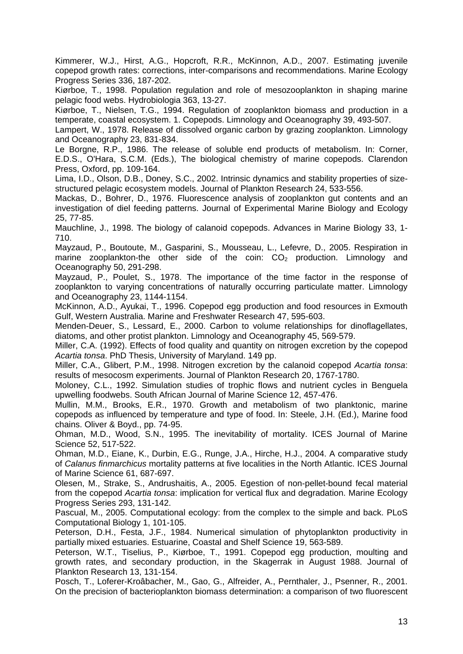Kimmerer, W.J., Hirst, A.G., Hopcroft, R.R., McKinnon, A.D., 2007. Estimating juvenile copepod growth rates: corrections, inter-comparisons and recommendations. Marine Ecology Progress Series 336, 187-202.

Kiørboe, T., 1998. Population regulation and role of mesozooplankton in shaping marine pelagic food webs. Hydrobiologia 363, 13-27.

Kiørboe, T., Nielsen, T.G., 1994. Regulation of zooplankton biomass and production in a temperate, coastal ecosystem. 1. Copepods. Limnology and Oceanography 39, 493-507.

Lampert, W., 1978. Release of dissolved organic carbon by grazing zooplankton. Limnology and Oceanography 23, 831-834.

Le Borgne, R.P., 1986. The release of soluble end products of metabolism. In: Corner, E.D.S., O'Hara, S.C.M. (Eds.), The biological chemistry of marine copepods. Clarendon Press, Oxford, pp. 109-164.

Lima, I.D., Olson, D.B., Doney, S.C., 2002. Intrinsic dynamics and stability properties of sizestructured pelagic ecosystem models. Journal of Plankton Research 24, 533-556.

Mackas, D., Bohrer, D., 1976. Fluorescence analysis of zooplankton gut contents and an investigation of diel feeding patterns. Journal of Experimental Marine Biology and Ecology 25, 77-85.

Mauchline, J., 1998. The biology of calanoid copepods. Advances in Marine Biology 33, 1- 710.

Mayzaud, P., Boutoute, M., Gasparini, S., Mousseau, L., Lefevre, D., 2005. Respiration in marine zooplankton-the other side of the coin:  $CO<sub>2</sub>$  production. Limnology and Oceanography 50, 291-298.

Mayzaud, P., Poulet, S., 1978. The importance of the time factor in the response of zooplankton to varying concentrations of naturally occurring particulate matter. Limnology and Oceanography 23, 1144-1154.

McKinnon, A.D., Ayukai, T., 1996. Copepod egg production and food resources in Exmouth Gulf, Western Australia. Marine and Freshwater Research 47, 595-603.

Menden-Deuer, S., Lessard, E., 2000. Carbon to volume relationships for dinoflagellates, diatoms, and other protist plankton. Limnology and Oceanography 45, 569-579.

Miller, C.A. (1992). Effects of food quality and quantity on nitrogen excretion by the copepod *Acartia tonsa*. PhD Thesis, University of Maryland. 149 pp.

Miller, C.A., Glibert, P.M., 1998. Nitrogen excretion by the calanoid copepod *Acartia tonsa*: results of mesocosm experiments. Journal of Plankton Research 20, 1767-1780.

Moloney, C.L., 1992. Simulation studies of trophic flows and nutrient cycles in Benguela upwelling foodwebs. South African Journal of Marine Science 12, 457-476.

Mullin, M.M., Brooks, E.R., 1970. Growth and metabolism of two planktonic, marine copepods as influenced by temperature and type of food. In: Steele, J.H. (Ed.), Marine food chains. Oliver & Boyd., pp. 74-95.

Ohman, M.D., Wood, S.N., 1995. The inevitability of mortality. ICES Journal of Marine Science 52, 517-522.

Ohman, M.D., Eiane, K., Durbin, E.G., Runge, J.A., Hirche, H.J., 2004. A comparative study of *Calanus finmarchicus* mortality patterns at five localities in the North Atlantic. ICES Journal of Marine Science 61, 687-697.

Olesen, M., Strake, S., Andrushaitis, A., 2005. Egestion of non-pellet-bound fecal material from the copepod *Acartia tonsa*: implication for vertical flux and degradation. Marine Ecology Progress Series 293, 131-142.

Pascual, M., 2005. Computational ecology: from the complex to the simple and back. PLoS Computational Biology 1, 101-105.

Peterson, D.H., Festa, J.F., 1984. Numerical simulation of phytoplankton productivity in partially mixed estuaries. Estuarine, Coastal and Shelf Science 19, 563-589.

Peterson, W.T., Tiselius, P., Kiørboe, T., 1991. Copepod egg production, moulting and growth rates, and secondary production, in the Skagerrak in August 1988. Journal of Plankton Research 13, 131-154.

Posch, T., Loferer-Kroâbacher, M., Gao, G., Alfreider, A., Pernthaler, J., Psenner, R., 2001. On the precision of bacterioplankton biomass determination: a comparison of two fluorescent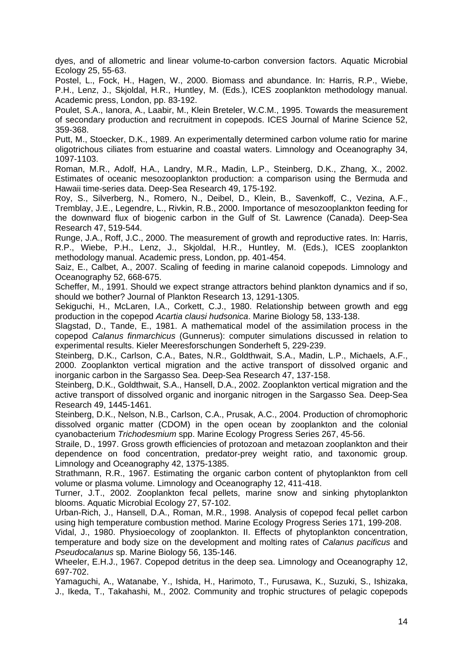dyes, and of allometric and linear volume-to-carbon conversion factors. Aquatic Microbial Ecology 25, 55-63.

Postel, L., Fock, H., Hagen, W., 2000. Biomass and abundance. In: Harris, R.P., Wiebe, P.H., Lenz, J., Skjoldal, H.R., Huntley, M. (Eds.), ICES zooplankton methodology manual. Academic press, London, pp. 83-192.

Poulet, S.A., Ianora, A., Laabir, M., Klein Breteler, W.C.M., 1995. Towards the measurement of secondary production and recruitment in copepods. ICES Journal of Marine Science 52, 359-368.

Putt, M., Stoecker, D.K., 1989. An experimentally determined carbon volume ratio for marine oligotrichous ciliates from estuarine and coastal waters. Limnology and Oceanography 34, 1097-1103.

Roman, M.R., Adolf, H.A., Landry, M.R., Madin, L.P., Steinberg, D.K., Zhang, X., 2002. Estimates of oceanic mesozooplankton production: a comparison using the Bermuda and Hawaii time-series data. Deep-Sea Research 49, 175-192.

Roy, S., Silverberg, N., Romero, N., Deibel, D., Klein, B., Savenkoff, C., Vezina, A.F., Tremblay, J.E., Legendre, L., Rivkin, R.B., 2000. Importance of mesozooplankton feeding for the downward flux of biogenic carbon in the Gulf of St. Lawrence (Canada). Deep-Sea Research 47, 519-544.

Runge, J.A., Roff, J.C., 2000. The measurement of growth and reproductive rates. In: Harris, R.P., Wiebe, P.H., Lenz, J., Skjoldal, H.R., Huntley, M. (Eds.), ICES zooplankton methodology manual. Academic press, London, pp. 401-454.

Saiz, E., Calbet, A., 2007. Scaling of feeding in marine calanoid copepods. Limnology and Oceanography 52, 668-675.

Scheffer, M., 1991. Should we expect strange attractors behind plankton dynamics and if so, should we bother? Journal of Plankton Research 13, 1291-1305.

Sekiguchi, H., McLaren, I.A., Corkett, C.J., 1980. Relationship between growth and egg production in the copepod *Acartia clausi hudsonica*. Marine Biology 58, 133-138.

Slagstad, D., Tande, E., 1981. A mathematical model of the assimilation process in the copepod *Calanus finmarchicus* (Gunnerus): computer simulations discussed in relation to experimental results. Kieler Meeresforschungen Sonderheft 5, 229-239.

Steinberg, D.K., Carlson, C.A., Bates, N.R., Goldthwait, S.A., Madin, L.P., Michaels, A.F., 2000. Zooplankton vertical migration and the active transport of dissolved organic and inorganic carbon in the Sargasso Sea. Deep-Sea Research 47, 137-158.

Steinberg, D.K., Goldthwait, S.A., Hansell, D.A., 2002. Zooplankton vertical migration and the active transport of dissolved organic and inorganic nitrogen in the Sargasso Sea. Deep-Sea Research 49, 1445-1461.

Steinberg, D.K., Nelson, N.B., Carlson, C.A., Prusak, A.C., 2004. Production of chromophoric dissolved organic matter (CDOM) in the open ocean by zooplankton and the colonial cyanobacterium *Trichodesmium* spp. Marine Ecology Progress Series 267, 45-56.

Straile, D., 1997. Gross growth efficiencies of protozoan and metazoan zooplankton and their dependence on food concentration, predator-prey weight ratio, and taxonomic group. Limnology and Oceanography 42, 1375-1385.

Strathmann, R.R., 1967. Estimating the organic carbon content of phytoplankton from cell volume or plasma volume. Limnology and Oceanography 12, 411-418.

Turner, J.T., 2002. Zooplankton fecal pellets, marine snow and sinking phytoplankton blooms. Aquatic Microbial Ecology 27, 57-102.

Urban-Rich, J., Hansell, D.A., Roman, M.R., 1998. Analysis of copepod fecal pellet carbon using high temperature combustion method. Marine Ecology Progress Series 171, 199-208.

Vidal, J., 1980. Physioecology of zooplankton. II. Effects of phytoplankton concentration, temperature and body size on the development and molting rates of *Calanus pacificus* and *Pseudocalanus* sp. Marine Biology 56, 135-146.

Wheeler, E.H.J., 1967. Copepod detritus in the deep sea. Limnology and Oceanography 12, 697-702.

Yamaguchi, A., Watanabe, Y., Ishida, H., Harimoto, T., Furusawa, K., Suzuki, S., Ishizaka, J., Ikeda, T., Takahashi, M., 2002. Community and trophic structures of pelagic copepods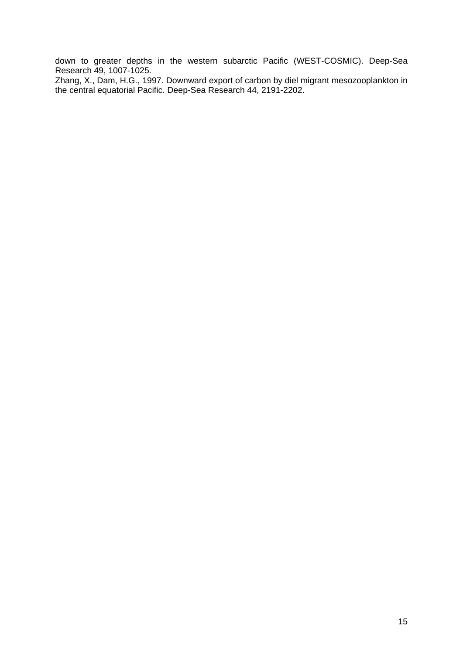down to greater depths in the western subarctic Pacific (WEST-COSMIC). Deep-Sea Research 49, 1007-1025.

Zhang, X., Dam, H.G., 1997. Downward export of carbon by diel migrant mesozooplankton in the central equatorial Pacific. Deep-Sea Research 44, 2191-2202.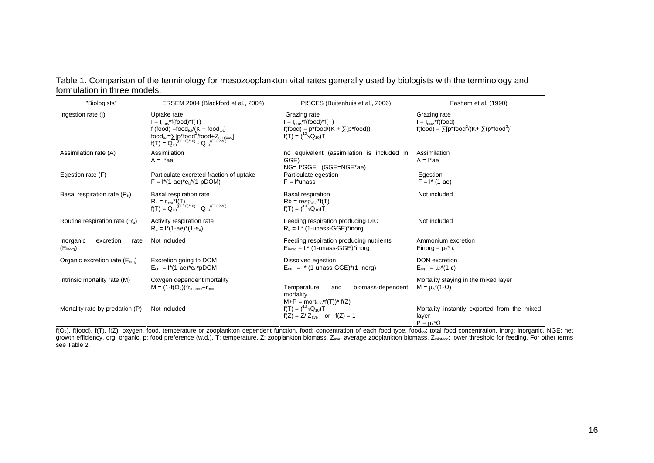| "Biologists"                                           | ERSEM 2004 (Blackford et al., 2004)                                                                                                                                                                                                                                                 | PISCES (Buitenhuis et al., 2006)                                                                                            | Fasham et al. (1990)                                                                           |  |  |  |
|--------------------------------------------------------|-------------------------------------------------------------------------------------------------------------------------------------------------------------------------------------------------------------------------------------------------------------------------------------|-----------------------------------------------------------------------------------------------------------------------------|------------------------------------------------------------------------------------------------|--|--|--|
| Ingestion rate (I)                                     | Uptake rate<br>$I = I_{max}^*f(food)*f(T)$<br>f (food) = $food_{tot}/(K + food_{tot})$<br>$\begin{array}{l} \mathsf{food}_\mathsf{tot} = \sum [p^* \mathsf{food}^2 / \mathsf{food} + Z_\mathsf{minfood}] \\ \mathsf{f}(T) = Q_{10}^{((T-10)/10)} - Q_{10}^{((T-32)/3)} \end{array}$ | Grazing rate<br>$I = I_{max}^* f (food)^* f(T)$<br>$f(food) = p*food/(K + \sum(p*food))$<br>$f(T) = {^{10} \sqrt{Q_{10}}T}$ | Grazing rate<br>$I = I_{max}$ *f(food)<br>$f(food) = \sum [p * food^2/(K + \sum (p * food^2)]$ |  |  |  |
| Assimilation rate (A)                                  | Assimilation<br>$A = I^*ae$                                                                                                                                                                                                                                                         | no equivalent (assimilation is included in<br>GGE)<br>NG= I*GGE (GGE=NGE*ae)                                                | Assimilation<br>$A = I^*ae$                                                                    |  |  |  |
| Egestion rate (F)                                      | Particulate excreted fraction of uptake<br>$F = I^*(1 - ae)^*e''(1 - pDOM)$                                                                                                                                                                                                         | Particulate egestion<br>$F = l^*$ unass                                                                                     | Egestion<br>$F = I^* (1 - ae)$                                                                 |  |  |  |
| Basal respiration rate $(R_h)$                         | Basal respiration rate<br>$\begin{array}{l} R_{\rm b} = r_{\rm rest} {}^\star f(T) \\ f(T) = Q_{10} {}^{((T-10)/10)} \text{ - } Q_{10} {}^{((T-32)/3)} \end{array}$                                                                                                                 | <b>Basal respiration</b><br>$Rb = resp_{0^{\circ}C}^{*}f(T)$<br>$f(T) = {^{10} \sqrt{Q_{10}}T}$                             | Not included                                                                                   |  |  |  |
| Routine respiration rate $(R_a)$                       | Activity respiration rate<br>$R_a = I^*(1 - ae)^*(1 - e_u)$                                                                                                                                                                                                                         | Feeding respiration producing DIC<br>$R_a = 1$ * (1-unass-GGE)*inorg                                                        | Not included                                                                                   |  |  |  |
| excretion<br>Inorganic<br>rate<br>$(E_{\text{inorg}})$ | Not included                                                                                                                                                                                                                                                                        | Feeding respiration producing nutrients<br>$E_{\text{inorg}} = I^*$ (1-unass-GGE)*inorg                                     | Ammonium excretion<br>Einorg = $\mu_2^*$ ε                                                     |  |  |  |
| Organic excretion rate $(E_{\text{ora}})$              | Excretion going to DOM<br>$E_{\text{org}} = I^*(1 - ae)^*e_u^*pDOM$                                                                                                                                                                                                                 | Dissolved egestion<br>$E_{org}$ = I* (1-unass-GGE)*(1-inorg)                                                                | DON excretion<br>$E_{\text{org}} = \mu_2^*(1-\epsilon)$                                        |  |  |  |
| Intrinsic mortality rate (M)                           | Oxygen dependent mortality<br>$M = (1-f(O2))$ * $rmortox+rmort$                                                                                                                                                                                                                     | biomass-dependent<br>Temperature<br>and<br>mortality                                                                        | Mortality staying in the mixed layer<br>$M = \mu_5^*(1-\Omega)$                                |  |  |  |
| Mortality rate by predation (P)                        | Not included                                                                                                                                                                                                                                                                        | $M+P = mort_{0°C} * f(T))* f(Z)$<br>$f(T) = {^{10} \sqrt{Q_{10}}T}$<br>$f(Z) = Z/Z_{ave}$ or $f(Z) = 1$                     | Mortality instantly exported from the mixed<br>layer<br>$P = \mu_5^* \Omega$                   |  |  |  |

Table 1. Comparison of the terminology for mesozooplankton vital rates generally used by biologists with the terminology and formulation in three models.

f(O<sub>2</sub>), f(food), f(T), f(Z): oxygen, food, temperature or zooplankton dependent function. food: concentration of each food type. food<sub>tot</sub>: total food concentration. inorg: inorganic. NGE: net growth efficiency. org: organic. p: food preference (w.d.). T: temperature. Z: zooplankton biomass. Z<sub>ave</sub>: average zooplankton biomass. Z<sub>minfood</sub>: lower threshold for feeding. For other terms see Table 2.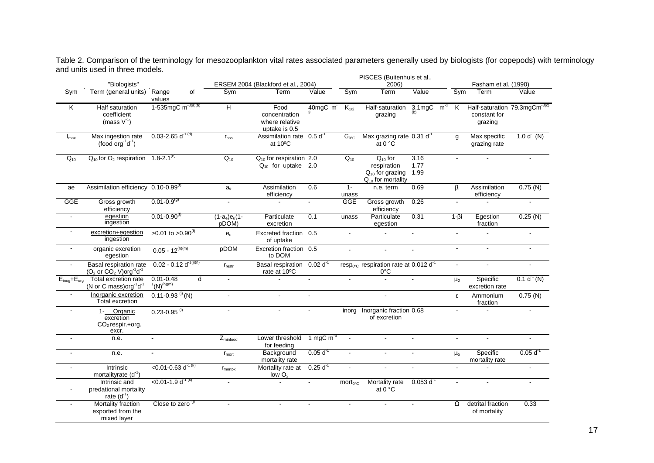Table 2. Comparison of the terminology for mesozooplankton vital rates associated parameters generally used by biologists (for copepods) with terminology and units used in three models. PISCES (Buitenhuis et al.,

|                                    | "Biologists"                                                                                   |                                    |    |                              | ERSEM 2004 (Blackford et al., 2004)                        |             |                  | PISCES (Buitenhuis et al.,<br>2006)                                                       |              |                         | Fasham et al. (1990)                                                |                 |  |
|------------------------------------|------------------------------------------------------------------------------------------------|------------------------------------|----|------------------------------|------------------------------------------------------------|-------------|------------------|-------------------------------------------------------------------------------------------|--------------|-------------------------|---------------------------------------------------------------------|-----------------|--|
| Sym                                | Term (general units)                                                                           | Range<br>values                    | οf | Sym                          | Term                                                       | Value       | Sym              | Term                                                                                      | Value        | Sym                     | Term                                                                | Value           |  |
| $\overline{\mathsf{x}}$            | <b>Half saturation</b><br>coefficient<br>(mass $V^1$ )                                         | 1-535mgC m <sup>-3(a)(b)</sup>     |    | Η                            | Food<br>concentration<br>where relative<br>uptake is 0.5   | 40mgC m     | $K_{1/2}$        | Half-saturation<br>grazing                                                                | 3.1mgC $m-3$ | $\overline{\mathsf{K}}$ | Half-saturation 79.3mgCm <sup>3(c)</sup><br>constant for<br>grazing |                 |  |
| $I_{\text{max}}$                   | Max ingestion rate<br>$(food org-1d-1)$                                                        | $0.03 - 2.65 d^{1(0)}$             |    | $r_{\rm ass}$                | Assimilation rate 0.5 d <sup>-1</sup><br>at $10^{\circ}$ C |             | $G_{0^{\circ}C}$ | Max grazing rate $0.31 d^3$<br>at $0 °C$                                                  |              | $\mathsf{q}$            | Max specific<br>grazing rate                                        | 1.0 $d^1(N)$    |  |
| $Q_{10}$                           | $Q_{10}$ for $Q_2$ respiration 1.8-2.1 <sup>(e)</sup>                                          |                                    |    | $Q_{10}$                     | $Q_{10}$ for respiration 2.0<br>$Q_{10}$ for uptake 2.0    |             | $Q_{10}$         | $Q_{10}$ for<br>respiration<br>$Q_{10}$ for grazing 1.99<br>$Q_{10}$ for mortality        | 3.16<br>1.77 |                         |                                                                     |                 |  |
| ae                                 | Assimilation efficiency 0.10-0.99 <sup>(f)</sup>                                               |                                    |    | a <sub>e</sub>               | Assimilation<br>efficiency                                 | 0.6         | $1 -$<br>unass   | n.e. term                                                                                 | 0.69         | $\beta_i$               | Assimilation<br>efficiency                                          | 0.75(N)         |  |
| GGE                                | Gross growth<br>efficiency                                                                     | $0.01 - 0.9^{(9)}$                 |    |                              |                                                            |             | GGE              | Gross growth<br>efficiency                                                                | 0.26         |                         |                                                                     |                 |  |
| $\sim$                             | egestion<br>ingestion                                                                          | $0.01 - 0.90^{(1)}$                |    | $(1-a_e)e_u(1-a_e)$<br>pDOM) | Particulate<br>excretion                                   | 0.1         | unass            | Particulate<br>egestion                                                                   | 0.31         | $1 - \beta i$           | Egestion<br>fraction                                                | 0.25(N)         |  |
| $\sim$                             | excretion+egestion<br>ingestion                                                                | >0.01 to >0.90 <sup>(f)</sup>      |    | e <sub>u</sub>               | Excreted fraction 0.5<br>of uptake                         |             |                  |                                                                                           |              |                         |                                                                     |                 |  |
|                                    | organic excretion<br>egestion                                                                  | $0.05 - 12^{(h)(m)}$               |    | pDOM                         | Excretion fraction 0.5<br>to DOM                           |             |                  |                                                                                           |              |                         |                                                                     |                 |  |
|                                    | Basal respiration rate<br>$(O_2 \text{ or } CO_2 \text{ V})$ org <sup>-1</sup> d <sup>-1</sup> | $0.02 - 0.12 d-1(i)(n)$            |    | $r_{\text{restr}}$           | Basal respiration 0.02 d <sup>-1</sup><br>rate at 10°C     |             |                  | resp <sub>0</sub> <sup>c</sup> respiration rate at 0.012 d <sup>-1</sup><br>$0^{\circ}$ C |              |                         |                                                                     |                 |  |
| $E_{\text{inog}} + E_{\text{org}}$ | Total excretion rate<br>(N or C mass)org $1d^{-1}$                                             | $0.01 - 0.48$<br>$(1(N)^{(h)(m))}$ |    | ď                            |                                                            |             |                  |                                                                                           |              | $\mu_2$                 | Specific<br>excretion rate                                          | $0.1 d^{1} (N)$ |  |
|                                    | Inorganic excretion<br>Total excretion                                                         | $0.11 - 0.93$ (i) (N)              |    | $\overline{a}$               |                                                            |             |                  |                                                                                           |              | ε                       | Ammonium<br>fraction                                                | 0.75(N)         |  |
|                                    | 1- Organic<br>excretion<br>$CO2$ respir. +org.<br>excr.                                        | $0.23 - 0.95$ <sup>(i)</sup>       |    |                              |                                                            |             | inorg            | Inorganic fraction 0.68<br>of excretion                                                   |              |                         |                                                                     |                 |  |
|                                    | n.e.                                                                                           |                                    |    | $Z_{\text{minfood}}$         | Lower threshold<br>for feeding                             | 1 mgC $m-3$ |                  |                                                                                           |              |                         |                                                                     |                 |  |
|                                    | n.e.                                                                                           |                                    |    | $r_{\text{mort}}$            | Background<br>mortality rate                               | $0.05 d-1$  |                  |                                                                                           |              | $\mu_5$                 | Specific<br>mortality rate                                          | $0.05 d-1$      |  |
|                                    | Intrinsic<br>mortalityrate $(d-1)$                                                             | <0.01-0.63 $d^{-(k)}$              |    | $r_{\text{mortox}}$          | Mortality rate at<br>low $O2$                              | $0.25 d-1$  |                  | $\overline{a}$                                                                            | $\mathbf{r}$ |                         |                                                                     | $\sim$          |  |
|                                    | Intrinsic and<br>predational mortality<br>rate $(d^{-1})$                                      | <0.01-1.9 $d^{1(k)}$               |    |                              |                                                            |             | $mort_{0°C}$     | Mortality rate<br>at $0 °C$                                                               | $0.053 d^3$  |                         |                                                                     | $\sim$          |  |
|                                    | Mortality fraction<br>exported from the<br>mixed layer                                         | Close to zero $(1)$                |    |                              |                                                            |             |                  |                                                                                           |              | Ω                       | detrital fraction<br>of mortality                                   | 0.33            |  |